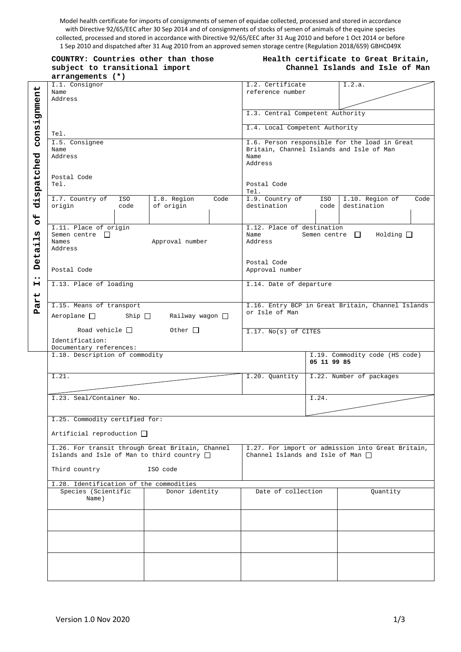Model health certificate for imports of consignments of semen of equidae collected, processed and stored in accordance with Directive 92/65/EEC after 30 Sep 2014 and of consignments of stocks of semen of animals of the equine species collected, processed and stored in accordance with Directive 92/65/EEC after 31 Aug 2010 and before 1 Oct 2014 or before 1 Sep 2010 and dispatched after 31 Aug 2010 from an approved semen storage centre (Regulation 2018/659) GBHC049X

| COUNTRY: Countries other than those |  |  |  |  |  |
|-------------------------------------|--|--|--|--|--|
| subject to transitional import      |  |  |  |  |  |
| arrangements (*)                    |  |  |  |  |  |

## **Health certificate to Great Britain, Channel Islands and Isle of Man**

|                  | I.1. Consignor<br>Name<br>Address                | I.2. Certificate<br>reference number                          |                                                   | I.2.a.                                            |                                |  |
|------------------|--------------------------------------------------|---------------------------------------------------------------|---------------------------------------------------|---------------------------------------------------|--------------------------------|--|
|                  |                                                  |                                                               |                                                   |                                                   |                                |  |
|                  |                                                  | I.3. Central Competent Authority                              |                                                   |                                                   |                                |  |
| consignment      | Tel.                                             | I.4. Local Competent Authority                                |                                                   |                                                   |                                |  |
|                  | I.5. Consignee                                   |                                                               | I.6. Person responsible for the load in Great     |                                                   |                                |  |
|                  | Name<br>Address                                  |                                                               | Britain, Channel Islands and Isle of Man<br>Name  |                                                   |                                |  |
|                  |                                                  |                                                               | Address                                           |                                                   |                                |  |
|                  | Postal Code                                      |                                                               |                                                   |                                                   |                                |  |
|                  | Tel.                                             |                                                               | Postal Code                                       |                                                   |                                |  |
| dispatched       | I.7. Country of<br>ISO                           | Tel.<br>I.9. Country of<br>ISO  <br>I.10. Region of<br>Code   |                                                   |                                                   |                                |  |
|                  | origin<br>code                                   | I.8. Region<br>Code<br>of origin                              | destination                                       | code                                              | destination                    |  |
|                  |                                                  |                                                               |                                                   |                                                   |                                |  |
| $\overline{6}$   | I.11. Place of origin                            |                                                               | I.12. Place of destination                        |                                                   |                                |  |
| ω<br>Ĥ           | Semen centre $\Box$                              |                                                               | Semen centre $\Box$<br>Holding<br>Name<br>Address |                                                   |                                |  |
| ٠H               | Names<br>Address                                 | Approval number                                               |                                                   |                                                   |                                |  |
| Ø                |                                                  |                                                               |                                                   |                                                   |                                |  |
| <b>Det</b>       |                                                  | Postal Code                                                   |                                                   |                                                   |                                |  |
| $\bullet\bullet$ | Postal Code                                      | Approval number                                               |                                                   |                                                   |                                |  |
| н                | I.13. Place of loading                           | I.14. Date of departure                                       |                                                   |                                                   |                                |  |
| Part             |                                                  |                                                               |                                                   |                                                   |                                |  |
|                  | I.15. Means of transport                         | I.16. Entry BCP in Great Britain, Channel Islands             |                                                   |                                                   |                                |  |
|                  |                                                  | Aeroplane $\square$ Ship $\square$<br>Railway wagon $\square$ |                                                   | or Isle of Man                                    |                                |  |
|                  | Road vehicle $\Box$<br>Other $\Box$              |                                                               |                                                   |                                                   |                                |  |
|                  | Identification:                                  | I.17. No(s) of CITES                                          |                                                   |                                                   |                                |  |
|                  | Documentary references:                          |                                                               |                                                   |                                                   |                                |  |
|                  | I.18. Description of commodity                   |                                                               |                                                   | 05 11 99 85                                       | I.19. Commodity code (HS code) |  |
|                  |                                                  |                                                               |                                                   |                                                   |                                |  |
|                  | I.21.                                            |                                                               | I.20. Quantity                                    |                                                   | I.22. Number of packages       |  |
|                  |                                                  |                                                               |                                                   |                                                   |                                |  |
|                  | I.23. Seal/Container No.                         |                                                               |                                                   | I.24.                                             |                                |  |
|                  |                                                  |                                                               |                                                   |                                                   |                                |  |
|                  | I.25. Commodity certified for:                   |                                                               |                                                   |                                                   |                                |  |
|                  | Artificial reproduction $\Box$                   |                                                               |                                                   |                                                   |                                |  |
|                  | I.26. For transit through Great Britain, Channel |                                                               |                                                   | I.27. For import or admission into Great Britain, |                                |  |
|                  | Islands and Isle of Man to third country $\Box$  | Channel Islands and Isle of Man $\Box$                        |                                                   |                                                   |                                |  |
|                  | Third country                                    |                                                               |                                                   |                                                   |                                |  |
|                  | I.28. Identification of the commodities          |                                                               |                                                   |                                                   |                                |  |
|                  | Species (Scientific                              | Donor identity                                                | Date of collection                                |                                                   | Quantity                       |  |
|                  | Name)                                            |                                                               |                                                   |                                                   |                                |  |
|                  |                                                  |                                                               |                                                   |                                                   |                                |  |
|                  |                                                  |                                                               |                                                   |                                                   |                                |  |
|                  |                                                  |                                                               |                                                   |                                                   |                                |  |
|                  |                                                  |                                                               |                                                   |                                                   |                                |  |
|                  |                                                  |                                                               |                                                   |                                                   |                                |  |
|                  |                                                  |                                                               |                                                   |                                                   |                                |  |
|                  |                                                  |                                                               |                                                   |                                                   |                                |  |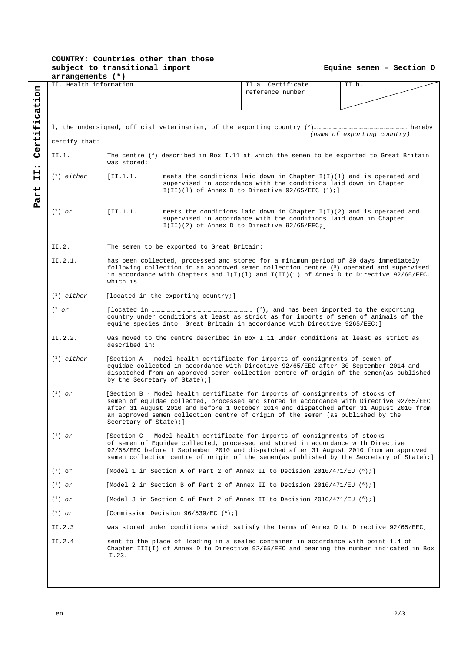## **COUNTRY: Countries other than those subject to transitional import**

**Equine semen – Section D**

|                                                                                                                                                                                                                                                                                                                                                                                                                                                                                                                                                                                                                                                                                                                                                                      | arrangements (*)                                                                                                                                                                                                                                                                                      |                                                                                                                                                                                                                                                                                                   |                                                                                                                                                                                                        |                                                                              |                                                                                           |  |  |  |
|----------------------------------------------------------------------------------------------------------------------------------------------------------------------------------------------------------------------------------------------------------------------------------------------------------------------------------------------------------------------------------------------------------------------------------------------------------------------------------------------------------------------------------------------------------------------------------------------------------------------------------------------------------------------------------------------------------------------------------------------------------------------|-------------------------------------------------------------------------------------------------------------------------------------------------------------------------------------------------------------------------------------------------------------------------------------------------------|---------------------------------------------------------------------------------------------------------------------------------------------------------------------------------------------------------------------------------------------------------------------------------------------------|--------------------------------------------------------------------------------------------------------------------------------------------------------------------------------------------------------|------------------------------------------------------------------------------|-------------------------------------------------------------------------------------------|--|--|--|
|                                                                                                                                                                                                                                                                                                                                                                                                                                                                                                                                                                                                                                                                                                                                                                      | II. Health information                                                                                                                                                                                                                                                                                |                                                                                                                                                                                                                                                                                                   | II.a. Certificate<br>reference number                                                                                                                                                                  | II.b.                                                                        |                                                                                           |  |  |  |
| Certification<br>$\bullet\bullet$<br>н<br>н<br><b>art</b><br>$\mathbf{p}$                                                                                                                                                                                                                                                                                                                                                                                                                                                                                                                                                                                                                                                                                            | certify that:                                                                                                                                                                                                                                                                                         |                                                                                                                                                                                                                                                                                                   |                                                                                                                                                                                                        |                                                                              | (name of exporting country)                                                               |  |  |  |
|                                                                                                                                                                                                                                                                                                                                                                                                                                                                                                                                                                                                                                                                                                                                                                      | II.1.                                                                                                                                                                                                                                                                                                 |                                                                                                                                                                                                                                                                                                   |                                                                                                                                                                                                        |                                                                              | The centre $(3)$ described in Box I.11 at which the semen to be exported to Great Britain |  |  |  |
|                                                                                                                                                                                                                                                                                                                                                                                                                                                                                                                                                                                                                                                                                                                                                                      | $(1)$ either                                                                                                                                                                                                                                                                                          | was stored:<br>[II.1.1]                                                                                                                                                                                                                                                                           | meets the conditions laid down in Chapter $I(I)(1)$ and is operated and<br>supervised in accordance with the conditions laid down in Chapter<br>$I(II)(1)$ of Annex D to Directive 92/65/EEC $(4)$ ; ] |                                                                              |                                                                                           |  |  |  |
|                                                                                                                                                                                                                                                                                                                                                                                                                                                                                                                                                                                                                                                                                                                                                                      | $(^1)$ or                                                                                                                                                                                                                                                                                             | [II.1.1.                                                                                                                                                                                                                                                                                          | meets the conditions laid down in Chapter $I(I)(2)$ and is operated and<br>supervised in accordance with the conditions laid down in Chapter<br>$I(II)(2)$ of Annex D to Directive 92/65/EEC;]         |                                                                              |                                                                                           |  |  |  |
|                                                                                                                                                                                                                                                                                                                                                                                                                                                                                                                                                                                                                                                                                                                                                                      | II.2.                                                                                                                                                                                                                                                                                                 |                                                                                                                                                                                                                                                                                                   | The semen to be exported to Great Britain:                                                                                                                                                             |                                                                              |                                                                                           |  |  |  |
|                                                                                                                                                                                                                                                                                                                                                                                                                                                                                                                                                                                                                                                                                                                                                                      | II.2.1.<br>has been collected, processed and stored for a minimum period of 30 days immediately<br>following collection in an approved semen collection centre (5) operated and supervised<br>in accordance with Chapters and $I(I)(1)$ and $I(II)(1)$ of Annex D to Directive 92/65/EEC,<br>which is |                                                                                                                                                                                                                                                                                                   |                                                                                                                                                                                                        |                                                                              |                                                                                           |  |  |  |
|                                                                                                                                                                                                                                                                                                                                                                                                                                                                                                                                                                                                                                                                                                                                                                      | $(1)$ either                                                                                                                                                                                                                                                                                          |                                                                                                                                                                                                                                                                                                   | [located in the exporting country;]                                                                                                                                                                    |                                                                              |                                                                                           |  |  |  |
|                                                                                                                                                                                                                                                                                                                                                                                                                                                                                                                                                                                                                                                                                                                                                                      | $(^1$ or                                                                                                                                                                                                                                                                                              | country under conditions at least as strict as for imports of semen of animals of the<br>equine species into Great Britain in accordance with Directive 9265/EEC;]                                                                                                                                |                                                                                                                                                                                                        |                                                                              |                                                                                           |  |  |  |
|                                                                                                                                                                                                                                                                                                                                                                                                                                                                                                                                                                                                                                                                                                                                                                      | II.2.2.<br>was moved to the centre described in Box I.11 under conditions at least as strict as<br>described in:                                                                                                                                                                                      |                                                                                                                                                                                                                                                                                                   |                                                                                                                                                                                                        |                                                                              |                                                                                           |  |  |  |
|                                                                                                                                                                                                                                                                                                                                                                                                                                                                                                                                                                                                                                                                                                                                                                      | $(1)$ either                                                                                                                                                                                                                                                                                          | [Section A - model health certificate for imports of consignments of semen of<br>equidae collected in accordance with Directive 92/65/EEC after 30 September 2014 and<br>dispatched from an approved semen collection centre of origin of the semen(as published<br>by the Secretary of State); ] |                                                                                                                                                                                                        |                                                                              |                                                                                           |  |  |  |
| $(^1)$ or<br>[Section B - Model health certificate for imports of consignments of stocks of<br>semen of equidae collected, processed and stored in accordance with Directive 92/65/EEC<br>after 31 August 2010 and before 1 October 2014 and dispatched after 31 August 2010 from<br>an approved semen collection centre of origin of the semen (as published by the<br>Secretary of State); ]<br>$(^1)$ or<br>[Section C - Model health certificate for imports of consignments of stocks<br>of semen of Equidae collected, processed and stored in accordance with Directive<br>92/65/EEC before 1 September 2010 and dispatched after 31 August 2010 from an approved<br>semen collection centre of origin of the semen(as published by the Secretary of State);] |                                                                                                                                                                                                                                                                                                       |                                                                                                                                                                                                                                                                                                   |                                                                                                                                                                                                        |                                                                              |                                                                                           |  |  |  |
|                                                                                                                                                                                                                                                                                                                                                                                                                                                                                                                                                                                                                                                                                                                                                                      |                                                                                                                                                                                                                                                                                                       |                                                                                                                                                                                                                                                                                                   |                                                                                                                                                                                                        |                                                                              |                                                                                           |  |  |  |
|                                                                                                                                                                                                                                                                                                                                                                                                                                                                                                                                                                                                                                                                                                                                                                      | $(1)$ or                                                                                                                                                                                                                                                                                              |                                                                                                                                                                                                                                                                                                   | [Model 1 in Section A of Part 2 of Annex II to Decision 2010/471/EU $(6)$ ;]                                                                                                                           |                                                                              |                                                                                           |  |  |  |
|                                                                                                                                                                                                                                                                                                                                                                                                                                                                                                                                                                                                                                                                                                                                                                      | $(1)$ or                                                                                                                                                                                                                                                                                              | [Model 2 in Section B of Part 2 of Annex II to Decision 2010/471/EU $(6)$ ;]                                                                                                                                                                                                                      |                                                                                                                                                                                                        |                                                                              |                                                                                           |  |  |  |
|                                                                                                                                                                                                                                                                                                                                                                                                                                                                                                                                                                                                                                                                                                                                                                      | $\binom{1}{1}$ or                                                                                                                                                                                                                                                                                     |                                                                                                                                                                                                                                                                                                   |                                                                                                                                                                                                        | [Model 3 in Section C of Part 2 of Annex II to Decision 2010/471/EU $(6)$ ;] |                                                                                           |  |  |  |
|                                                                                                                                                                                                                                                                                                                                                                                                                                                                                                                                                                                                                                                                                                                                                                      | [Commission Decision 96/539/EC (6);]<br>$(^1)$ or                                                                                                                                                                                                                                                     |                                                                                                                                                                                                                                                                                                   |                                                                                                                                                                                                        |                                                                              |                                                                                           |  |  |  |
|                                                                                                                                                                                                                                                                                                                                                                                                                                                                                                                                                                                                                                                                                                                                                                      | II.2.3                                                                                                                                                                                                                                                                                                | was stored under conditions which satisfy the terms of Annex D to Directive 92/65/EEC;                                                                                                                                                                                                            |                                                                                                                                                                                                        |                                                                              |                                                                                           |  |  |  |
|                                                                                                                                                                                                                                                                                                                                                                                                                                                                                                                                                                                                                                                                                                                                                                      | II.2.4<br>sent to the place of loading in a sealed container in accordance with point 1.4 of<br>Chapter III(I) of Annex D to Directive 92/65/EEC and bearing the number indicated in Box<br>I.23.                                                                                                     |                                                                                                                                                                                                                                                                                                   |                                                                                                                                                                                                        |                                                                              |                                                                                           |  |  |  |
|                                                                                                                                                                                                                                                                                                                                                                                                                                                                                                                                                                                                                                                                                                                                                                      |                                                                                                                                                                                                                                                                                                       |                                                                                                                                                                                                                                                                                                   |                                                                                                                                                                                                        |                                                                              |                                                                                           |  |  |  |